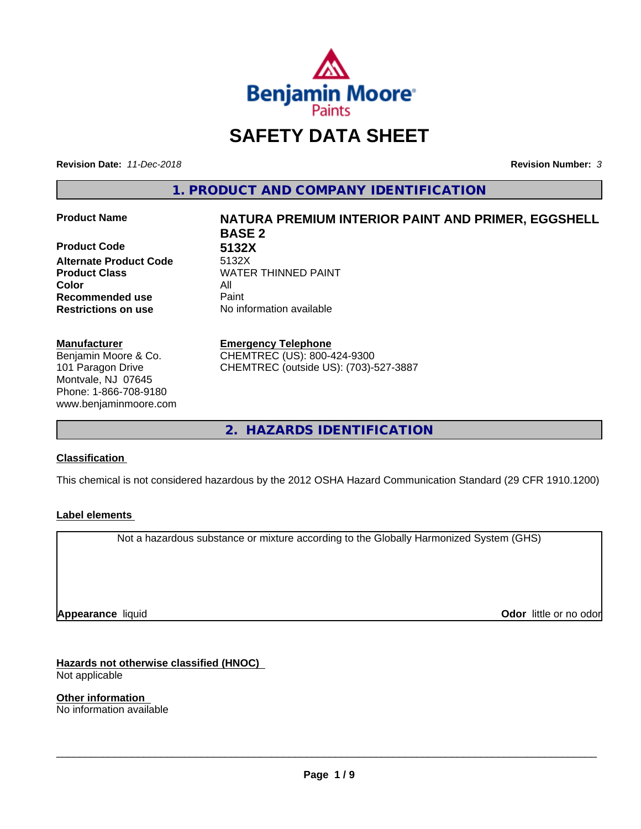

## **SAFETY DATA SHEET**

**Revision Date:** *11-Dec-2018* **Revision Number:** *3*

**1. PRODUCT AND COMPANY IDENTIFICATION**

**Product Code 5132X Alternate Product Code** 5132X **Product Class WATER THINNED PAINT Color** All **Recommended use** Paint **Restrictions on use** No information available

#### **Manufacturer**

Benjamin Moore & Co. 101 Paragon Drive Montvale, NJ 07645 Phone: 1-866-708-9180 www.benjaminmoore.com

# **Product Name NATURA PREMIUM INTERIOR PAINT AND PRIMER, EGGSHELL BASE 2**

#### **Emergency Telephone**

CHEMTREC (US): 800-424-9300 CHEMTREC (outside US): (703)-527-3887

**2. HAZARDS IDENTIFICATION**

#### **Classification**

This chemical is not considered hazardous by the 2012 OSHA Hazard Communication Standard (29 CFR 1910.1200)

#### **Label elements**

Not a hazardous substance or mixture according to the Globally Harmonized System (GHS)

**Appearance** liquid

**Odor** little or no odor

**Hazards not otherwise classified (HNOC)** Not applicable

**Other information** No information available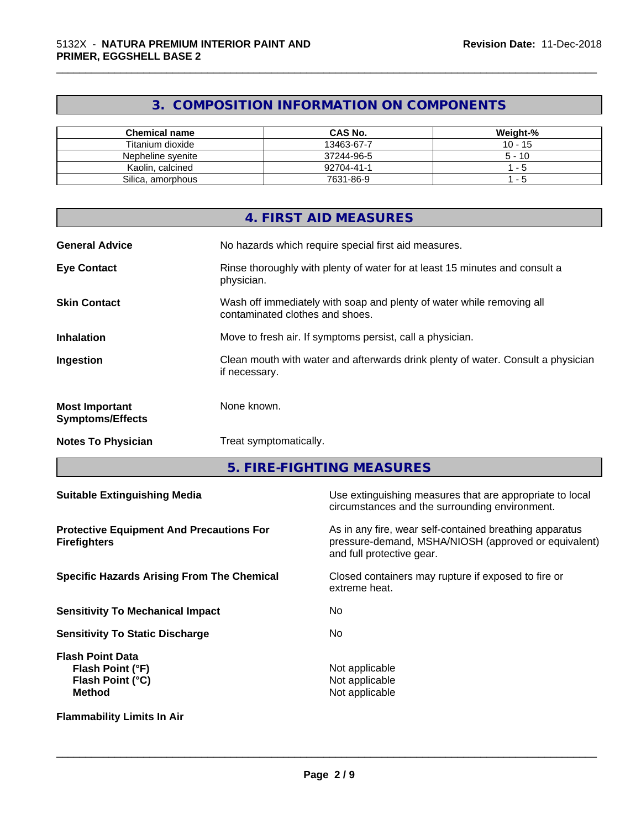## **3. COMPOSITION INFORMATION ON COMPONENTS**

\_\_\_\_\_\_\_\_\_\_\_\_\_\_\_\_\_\_\_\_\_\_\_\_\_\_\_\_\_\_\_\_\_\_\_\_\_\_\_\_\_\_\_\_\_\_\_\_\_\_\_\_\_\_\_\_\_\_\_\_\_\_\_\_\_\_\_\_\_\_\_\_\_\_\_\_\_\_\_\_\_\_\_\_\_\_\_\_\_\_\_\_\_

| <b>Chemical name</b> | <b>CAS No.</b> | Weight-%  |
|----------------------|----------------|-----------|
| Titanium dioxide     | 13463-67-7     | $10 - 15$ |
| Nepheline svenite    | 37244-96-5     | $5 - 10$  |
| Kaolin, calcined     | 92704-41-1     | - 5       |
| Silica, amorphous    | 7631-86-9      | - 5       |

|                                                  | 4. FIRST AID MEASURES                                                                                    |
|--------------------------------------------------|----------------------------------------------------------------------------------------------------------|
| <b>General Advice</b>                            | No hazards which require special first aid measures.                                                     |
| <b>Eye Contact</b>                               | Rinse thoroughly with plenty of water for at least 15 minutes and consult a<br>physician.                |
| <b>Skin Contact</b>                              | Wash off immediately with soap and plenty of water while removing all<br>contaminated clothes and shoes. |
| <b>Inhalation</b>                                | Move to fresh air. If symptoms persist, call a physician.                                                |
| Ingestion                                        | Clean mouth with water and afterwards drink plenty of water. Consult a physician<br>if necessary.        |
| <b>Most Important</b><br><b>Symptoms/Effects</b> | None known.                                                                                              |
| <b>Notes To Physician</b>                        | Treat symptomatically.                                                                                   |

**5. FIRE-FIGHTING MEASURES**

| <b>Suitable Extinguishing Media</b>                                              | Use extinguishing measures that are appropriate to local<br>circumstances and the surrounding environment.                                   |  |  |
|----------------------------------------------------------------------------------|----------------------------------------------------------------------------------------------------------------------------------------------|--|--|
| <b>Protective Equipment And Precautions For</b><br><b>Firefighters</b>           | As in any fire, wear self-contained breathing apparatus<br>pressure-demand, MSHA/NIOSH (approved or equivalent)<br>and full protective gear. |  |  |
| <b>Specific Hazards Arising From The Chemical</b>                                | Closed containers may rupture if exposed to fire or<br>extreme heat.                                                                         |  |  |
| <b>Sensitivity To Mechanical Impact</b>                                          | No.                                                                                                                                          |  |  |
| <b>Sensitivity To Static Discharge</b>                                           | No.                                                                                                                                          |  |  |
| <b>Flash Point Data</b><br>Flash Point (°F)<br>Flash Point (°C)<br><b>Method</b> | Not applicable<br>Not applicable<br>Not applicable                                                                                           |  |  |
| <b>Flammability Limits In Air</b>                                                |                                                                                                                                              |  |  |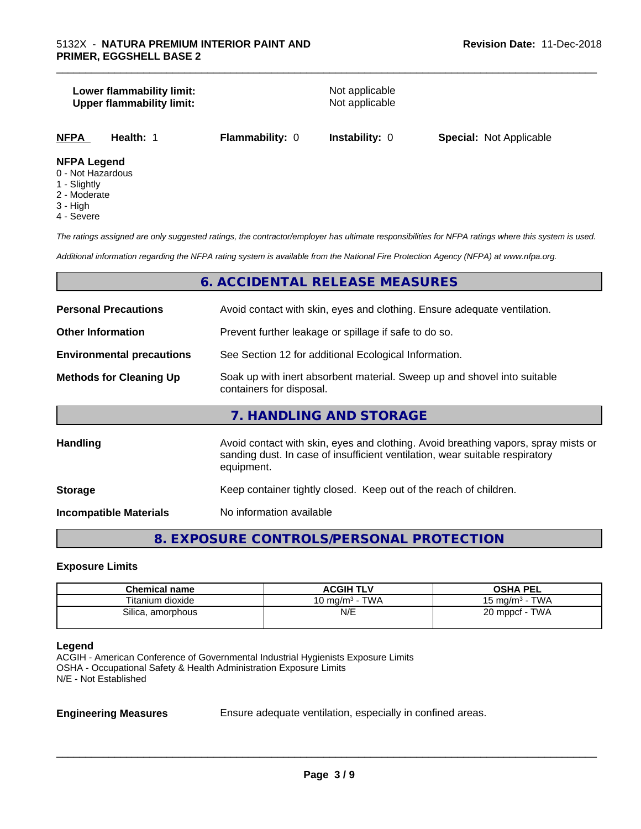#### **Lower flammability limit:**<br> **Upper flammability limit:**<br>
Upper flammability limit:<br>
Not applicable **Upper flammability limit:**

\_\_\_\_\_\_\_\_\_\_\_\_\_\_\_\_\_\_\_\_\_\_\_\_\_\_\_\_\_\_\_\_\_\_\_\_\_\_\_\_\_\_\_\_\_\_\_\_\_\_\_\_\_\_\_\_\_\_\_\_\_\_\_\_\_\_\_\_\_\_\_\_\_\_\_\_\_\_\_\_\_\_\_\_\_\_\_\_\_\_\_\_\_

**NFPA Health:** 1 **Flammability:** 0 **Instability:** 0 **Special:** Not Applicable

#### **NFPA Legend**

- 0 Not Hazardous
- 1 Slightly
- 2 Moderate
- 3 High
- 4 Severe

*The ratings assigned are only suggested ratings, the contractor/employer has ultimate responsibilities for NFPA ratings where this system is used.*

*Additional information regarding the NFPA rating system is available from the National Fire Protection Agency (NFPA) at www.nfpa.org.*

#### **6. ACCIDENTAL RELEASE MEASURES**

| <b>Personal Precautions</b>      | Avoid contact with skin, eyes and clothing. Ensure adequate ventilation.                                                                                                         |  |  |
|----------------------------------|----------------------------------------------------------------------------------------------------------------------------------------------------------------------------------|--|--|
| <b>Other Information</b>         | Prevent further leakage or spillage if safe to do so.                                                                                                                            |  |  |
| <b>Environmental precautions</b> | See Section 12 for additional Ecological Information.                                                                                                                            |  |  |
| <b>Methods for Cleaning Up</b>   | Soak up with inert absorbent material. Sweep up and shovel into suitable<br>containers for disposal.                                                                             |  |  |
|                                  | 7. HANDLING AND STORAGE                                                                                                                                                          |  |  |
| <b>Handling</b>                  | Avoid contact with skin, eyes and clothing. Avoid breathing vapors, spray mists or<br>sanding dust. In case of insufficient ventilation, wear suitable respiratory<br>equipment. |  |  |
| <b>Storage</b>                   | Keep container tightly closed. Keep out of the reach of children.                                                                                                                |  |  |
| <b>Incompatible Materials</b>    | No information available                                                                                                                                                         |  |  |

#### **8. EXPOSURE CONTROLS/PERSONAL PROTECTION**

#### **Exposure Limits**

| <b>Chemical name</b>   | <b>ACGIH TLV</b>           | <b>OSHA PEL</b>                   |
|------------------------|----------------------------|-----------------------------------|
| Titanium dioxide       | <b>TWA</b><br>10 ma/mª - ˈ | <b>TWA</b><br>$15 \text{ ma/m}^3$ |
| Silica.<br>, amorphous | N/E                        | TWA<br>20 mppcf $-$               |

#### **Legend**

ACGIH - American Conference of Governmental Industrial Hygienists Exposure Limits OSHA - Occupational Safety & Health Administration Exposure Limits N/E - Not Established

**Engineering Measures** Ensure adequate ventilation, especially in confined areas.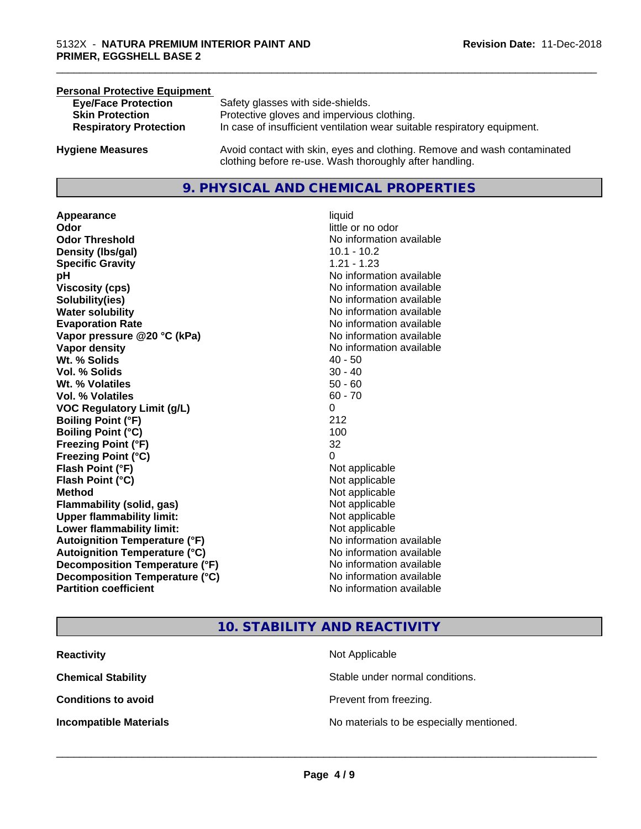| <b>Personal Protective Equipment</b> |                                                                                                                                     |
|--------------------------------------|-------------------------------------------------------------------------------------------------------------------------------------|
| <b>Eye/Face Protection</b>           | Safety glasses with side-shields.                                                                                                   |
| <b>Skin Protection</b>               | Protective gloves and impervious clothing.                                                                                          |
| <b>Respiratory Protection</b>        | In case of insufficient ventilation wear suitable respiratory equipment.                                                            |
| <b>Hygiene Measures</b>              | Avoid contact with skin, eyes and clothing. Remove and wash contaminated<br>clothing before re-use. Wash thoroughly after handling. |

#### **9. PHYSICAL AND CHEMICAL PROPERTIES**

**Appearance** liquid **Odor**<br> **Odor Threshold**<br> **Odor Threshold**<br> **CODOR**<br> **CODOR**<br> **CODOR**<br> **CODOR**<br> **CODOR**<br> **CODOR**<br> **CODOR**<br> **CODOR**<br> **CODOR**<br> **CODOR Density (Ibs/gal)** 10.1 - 10.2 **Specific Gravity** 1.21 - 1.23 **pH pH**  $\blacksquare$ **Viscosity (cps)** No information available **Solubility(ies)** No information available **Water solubility** No information available **Evaporation Rate No information available No information available Vapor pressure @20 °C (kPa)** No information available **Vapor density No information available No information available Wt.** % Solids 40 - 50 **Vol. % Solids** 30 - 40 **Wt. % Volatiles** 50 - 60 **Vol. % Volatiles** 60 - 70 **VOC Regulatory Limit (g/L)** 0 **Boiling Point (°F)** 212 **Boiling Point**  $(°C)$  100 **Freezing Point (°F)** 32 **Freezing Point (°C)** 0 **Flash Point (°F)**<br> **Flash Point (°C)**<br> **Flash Point (°C)**<br> **Point (°C)**<br> **Point (°C)**<br> **Point (°C)**<br> **Point (°C)**<br> **Point (°C) Flash Point (°C) Method** Not applicable **Flammability (solid, gas)** Not applicable **Upper flammability limit:** Not applicable **Lower flammability limit:** Not applicable **Autoignition Temperature (°F)** No information available **Autoignition Temperature (°C)**<br> **Decomposition Temperature (°F)** No information available **Decomposition Temperature (°F)** No information available<br> **Decomposition Temperature (°C)** No information available **Decomposition Temperature (°C) Partition coefficient Contract Community No information available** 

**No information available** 

\_\_\_\_\_\_\_\_\_\_\_\_\_\_\_\_\_\_\_\_\_\_\_\_\_\_\_\_\_\_\_\_\_\_\_\_\_\_\_\_\_\_\_\_\_\_\_\_\_\_\_\_\_\_\_\_\_\_\_\_\_\_\_\_\_\_\_\_\_\_\_\_\_\_\_\_\_\_\_\_\_\_\_\_\_\_\_\_\_\_\_\_\_

#### **10. STABILITY AND REACTIVITY**

| <b>Reactivity</b>             | Not Applicable                           |
|-------------------------------|------------------------------------------|
| <b>Chemical Stability</b>     | Stable under normal conditions.          |
| <b>Conditions to avoid</b>    | Prevent from freezing.                   |
| <b>Incompatible Materials</b> | No materials to be especially mentioned. |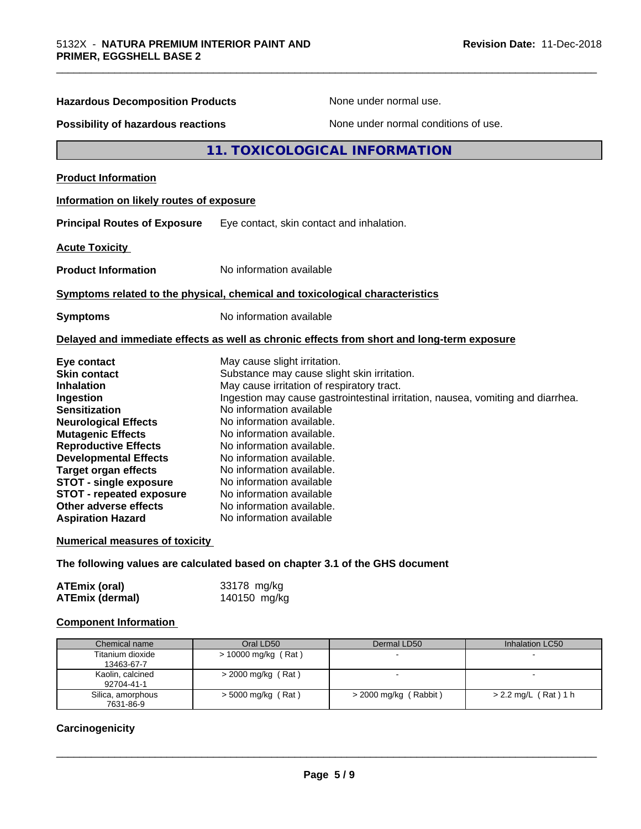| <b>Hazardous Decomposition Products</b>                                                                                                                                                                                                                                                                                                                                        | None under normal use.                                                                                                                                                                                                                                                                                                                                                                                                                                                                                     |
|--------------------------------------------------------------------------------------------------------------------------------------------------------------------------------------------------------------------------------------------------------------------------------------------------------------------------------------------------------------------------------|------------------------------------------------------------------------------------------------------------------------------------------------------------------------------------------------------------------------------------------------------------------------------------------------------------------------------------------------------------------------------------------------------------------------------------------------------------------------------------------------------------|
| <b>Possibility of hazardous reactions</b>                                                                                                                                                                                                                                                                                                                                      | None under normal conditions of use.                                                                                                                                                                                                                                                                                                                                                                                                                                                                       |
|                                                                                                                                                                                                                                                                                                                                                                                | 11. TOXICOLOGICAL INFORMATION                                                                                                                                                                                                                                                                                                                                                                                                                                                                              |
| <b>Product Information</b>                                                                                                                                                                                                                                                                                                                                                     |                                                                                                                                                                                                                                                                                                                                                                                                                                                                                                            |
| Information on likely routes of exposure                                                                                                                                                                                                                                                                                                                                       |                                                                                                                                                                                                                                                                                                                                                                                                                                                                                                            |
| <b>Principal Routes of Exposure</b>                                                                                                                                                                                                                                                                                                                                            | Eye contact, skin contact and inhalation.                                                                                                                                                                                                                                                                                                                                                                                                                                                                  |
| <b>Acute Toxicity</b>                                                                                                                                                                                                                                                                                                                                                          |                                                                                                                                                                                                                                                                                                                                                                                                                                                                                                            |
| <b>Product Information</b>                                                                                                                                                                                                                                                                                                                                                     | No information available                                                                                                                                                                                                                                                                                                                                                                                                                                                                                   |
|                                                                                                                                                                                                                                                                                                                                                                                | Symptoms related to the physical, chemical and toxicological characteristics                                                                                                                                                                                                                                                                                                                                                                                                                               |
| <b>Symptoms</b>                                                                                                                                                                                                                                                                                                                                                                | No information available                                                                                                                                                                                                                                                                                                                                                                                                                                                                                   |
|                                                                                                                                                                                                                                                                                                                                                                                | Delayed and immediate effects as well as chronic effects from short and long-term exposure                                                                                                                                                                                                                                                                                                                                                                                                                 |
| Eye contact<br><b>Skin contact</b><br><b>Inhalation</b><br>Ingestion<br><b>Sensitization</b><br><b>Neurological Effects</b><br><b>Mutagenic Effects</b><br><b>Reproductive Effects</b><br><b>Developmental Effects</b><br><b>Target organ effects</b><br><b>STOT - single exposure</b><br><b>STOT - repeated exposure</b><br>Other adverse effects<br><b>Aspiration Hazard</b> | May cause slight irritation.<br>Substance may cause slight skin irritation.<br>May cause irritation of respiratory tract.<br>Ingestion may cause gastrointestinal irritation, nausea, vomiting and diarrhea.<br>No information available<br>No information available.<br>No information available.<br>No information available.<br>No information available.<br>No information available.<br>No information available<br>No information available<br>No information available.<br>No information available |
| <b>Numerical measures of toxicity</b>                                                                                                                                                                                                                                                                                                                                          |                                                                                                                                                                                                                                                                                                                                                                                                                                                                                                            |
|                                                                                                                                                                                                                                                                                                                                                                                | The following values are calculated based on chapter 3.1 of the GHS document                                                                                                                                                                                                                                                                                                                                                                                                                               |
| <b>ATEmix (oral)</b><br><b>ATEmix (dermal)</b>                                                                                                                                                                                                                                                                                                                                 | 33178 mg/kg<br>140150 mg/kg                                                                                                                                                                                                                                                                                                                                                                                                                                                                                |
| <b>Component Information</b>                                                                                                                                                                                                                                                                                                                                                   |                                                                                                                                                                                                                                                                                                                                                                                                                                                                                                            |
|                                                                                                                                                                                                                                                                                                                                                                                |                                                                                                                                                                                                                                                                                                                                                                                                                                                                                                            |

| Chemical name                  | Oral LD50            | Dermal LD50           | Inhalation LC50        |
|--------------------------------|----------------------|-----------------------|------------------------|
| Titanium dioxide<br>13463-67-7 | > 10000 mg/kg (Rat)  | $\sim$                |                        |
| Kaolin, calcined<br>92704-41-1 | $>$ 2000 mg/kg (Rat) |                       |                        |
| Silica, amorphous<br>7631-86-9 | $>$ 5000 mg/kg (Rat) | > 2000 mg/kg (Rabbit) | $> 2.2$ mg/L (Rat) 1 h |

### **Carcinogenicity**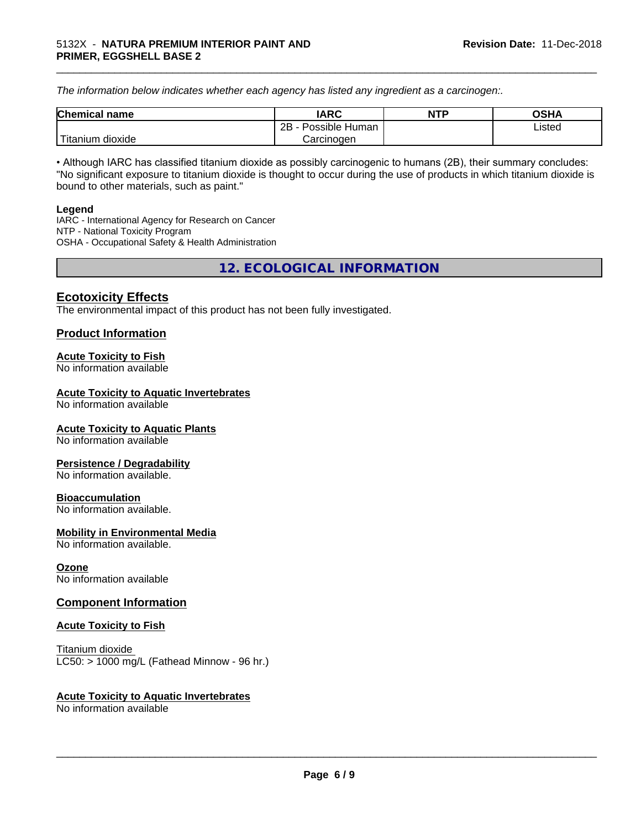*The information below indicateswhether each agency has listed any ingredient as a carcinogen:.*

| <b>Chemical</b><br>name  | <b>IARC</b>                    | <b>NTP</b> | <b>OSHA</b> |
|--------------------------|--------------------------------|------------|-------------|
|                          | . .<br>2B<br>Possible<br>Human |            | Listed<br>. |
| .<br>dioxide<br>⊺itanium | Carcinogen                     |            |             |

\_\_\_\_\_\_\_\_\_\_\_\_\_\_\_\_\_\_\_\_\_\_\_\_\_\_\_\_\_\_\_\_\_\_\_\_\_\_\_\_\_\_\_\_\_\_\_\_\_\_\_\_\_\_\_\_\_\_\_\_\_\_\_\_\_\_\_\_\_\_\_\_\_\_\_\_\_\_\_\_\_\_\_\_\_\_\_\_\_\_\_\_\_

• Although IARC has classified titanium dioxide as possibly carcinogenic to humans (2B), their summary concludes: "No significant exposure to titanium dioxide is thought to occur during the use of products in which titanium dioxide is bound to other materials, such as paint."

#### **Legend**

IARC - International Agency for Research on Cancer NTP - National Toxicity Program OSHA - Occupational Safety & Health Administration

**12. ECOLOGICAL INFORMATION**

#### **Ecotoxicity Effects**

The environmental impact of this product has not been fully investigated.

#### **Product Information**

#### **Acute Toxicity to Fish**

No information available

#### **Acute Toxicity to Aquatic Invertebrates**

No information available

#### **Acute Toxicity to Aquatic Plants**

No information available

#### **Persistence / Degradability**

No information available.

#### **Bioaccumulation**

No information available.

#### **Mobility in Environmental Media**

No information available.

#### **Ozone**

No information available

#### **Component Information**

#### **Acute Toxicity to Fish**

Titanium dioxide  $LC50:$  > 1000 mg/L (Fathead Minnow - 96 hr.)

#### **Acute Toxicity to Aquatic Invertebrates**

No information available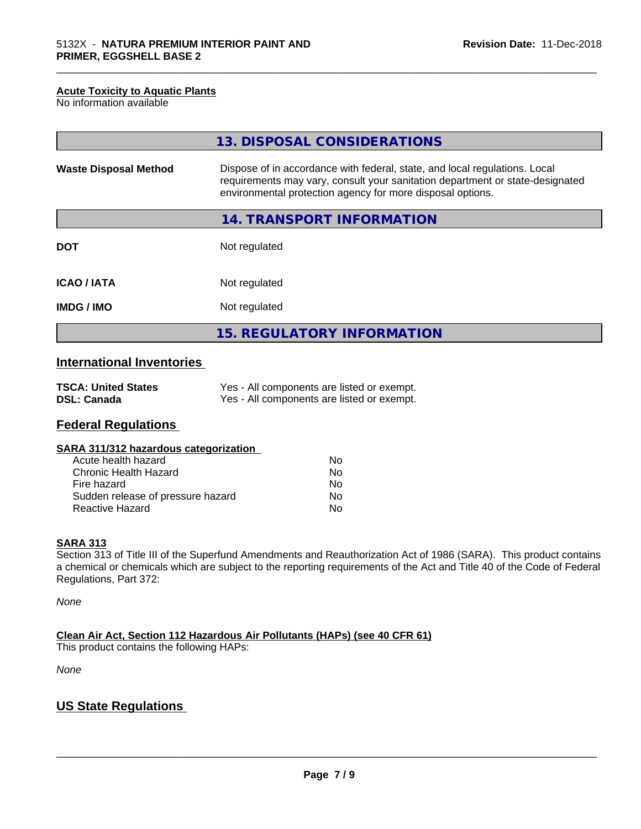#### **Acute Toxicity to Aquatic Plants**

No information available

|                              | 13. DISPOSAL CONSIDERATIONS                                                                                                                                                                                               |
|------------------------------|---------------------------------------------------------------------------------------------------------------------------------------------------------------------------------------------------------------------------|
| <b>Waste Disposal Method</b> | Dispose of in accordance with federal, state, and local regulations. Local<br>requirements may vary, consult your sanitation department or state-designated<br>environmental protection agency for more disposal options. |
|                              | 14. TRANSPORT INFORMATION                                                                                                                                                                                                 |
| <b>DOT</b>                   | Not regulated                                                                                                                                                                                                             |
| <b>ICAO/IATA</b>             | Not regulated                                                                                                                                                                                                             |
| <b>IMDG/IMO</b>              | Not regulated                                                                                                                                                                                                             |
|                              | 15. REGULATORY INFORMATION                                                                                                                                                                                                |

\_\_\_\_\_\_\_\_\_\_\_\_\_\_\_\_\_\_\_\_\_\_\_\_\_\_\_\_\_\_\_\_\_\_\_\_\_\_\_\_\_\_\_\_\_\_\_\_\_\_\_\_\_\_\_\_\_\_\_\_\_\_\_\_\_\_\_\_\_\_\_\_\_\_\_\_\_\_\_\_\_\_\_\_\_\_\_\_\_\_\_\_\_

### **International Inventories**

| <b>TSCA: United States</b> | Yes - All components are listed or exempt. |
|----------------------------|--------------------------------------------|
| <b>DSL: Canada</b>         | Yes - All components are listed or exempt. |

#### **Federal Regulations**

| SARA 311/312 hazardous categorization |    |  |
|---------------------------------------|----|--|
| Acute health hazard                   | Nο |  |
| Chronic Health Hazard                 | Nο |  |
| Fire hazard                           | Nο |  |
| Sudden release of pressure hazard     | N٥ |  |

**Reactive Hazard** No. 2006. All the Mondon No. 2014

#### **SARA 313**

Section 313 of Title III of the Superfund Amendments and Reauthorization Act of 1986 (SARA). This product contains a chemical or chemicals which are subject to the reporting requirements of the Act and Title 40 of the Code of Federal Regulations, Part 372:

*None*

**Clean Air Act,Section 112 Hazardous Air Pollutants (HAPs) (see 40 CFR 61)**

This product contains the following HAPs:

*None*

#### **US State Regulations**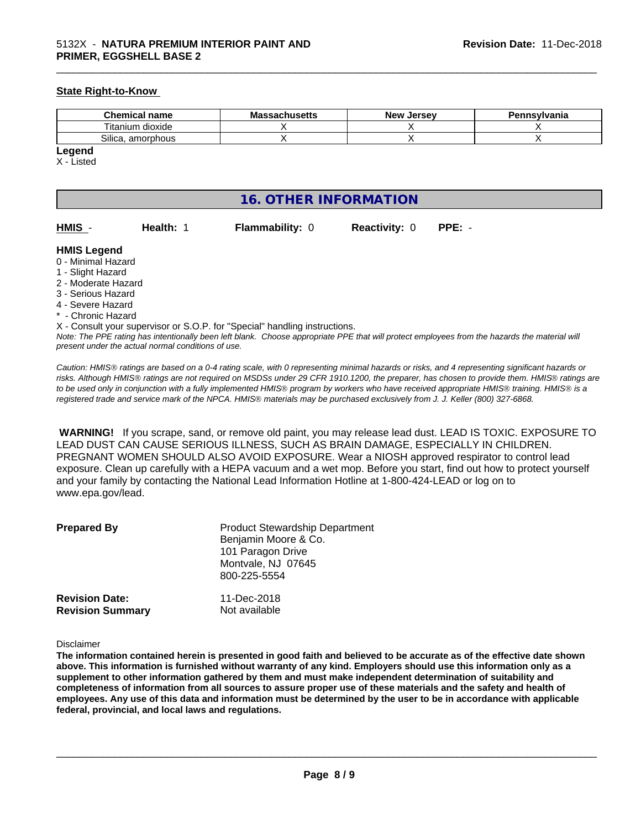#### **State Right-to-Know**

| <b>Chemical name</b>           | <br>MЭ<br>saunuscus | <b>Jerse</b> v<br>Nev <b>N</b> | Pennsylvania |
|--------------------------------|---------------------|--------------------------------|--------------|
| ÷.<br><br>l itanium<br>dioxide |                     |                                |              |
| ~…<br>Silica<br>amorphous      |                     |                                |              |

#### **Legend**

X - Listed

#### **16. OTHER INFORMATION**

| HMIS | <b>Health: 1</b> | <b>Flammability: 0</b> | <b>Reactivity: 0</b> | $PPE: -$ |
|------|------------------|------------------------|----------------------|----------|

\_\_\_\_\_\_\_\_\_\_\_\_\_\_\_\_\_\_\_\_\_\_\_\_\_\_\_\_\_\_\_\_\_\_\_\_\_\_\_\_\_\_\_\_\_\_\_\_\_\_\_\_\_\_\_\_\_\_\_\_\_\_\_\_\_\_\_\_\_\_\_\_\_\_\_\_\_\_\_\_\_\_\_\_\_\_\_\_\_\_\_\_\_

#### **HMIS Legend**

- 0 Minimal Hazard
- 1 Slight Hazard
- 2 Moderate Hazard
- 3 Serious Hazard
- 4 Severe Hazard
- <sup>\*</sup> Chronic Hazard
- X Consult your supervisor or S.O.P. for "Special" handling instructions.

*Note: The PPE rating has intentionally been left blank. Choose appropriate PPE that will protect employees from the hazards the material will present under the actual normal conditions of use.*

*Caution: HMISÒ ratings are based on a 0-4 rating scale, with 0 representing minimal hazards or risks, and 4 representing significant hazards or risks. Although HMISÒ ratings are not required on MSDSs under 29 CFR 1910.1200, the preparer, has chosen to provide them. HMISÒ ratings are to be used only in conjunction with a fully implemented HMISÒ program by workers who have received appropriate HMISÒ training. HMISÒ is a registered trade and service mark of the NPCA. HMISÒ materials may be purchased exclusively from J. J. Keller (800) 327-6868.*

 **WARNING!** If you scrape, sand, or remove old paint, you may release lead dust. LEAD IS TOXIC. EXPOSURE TO LEAD DUST CAN CAUSE SERIOUS ILLNESS, SUCH AS BRAIN DAMAGE, ESPECIALLY IN CHILDREN. PREGNANT WOMEN SHOULD ALSO AVOID EXPOSURE.Wear a NIOSH approved respirator to control lead exposure. Clean up carefully with a HEPA vacuum and a wet mop. Before you start, find out how to protect yourself and your family by contacting the National Lead Information Hotline at 1-800-424-LEAD or log on to www.epa.gov/lead.

| <b>Prepared By</b>                               | <b>Product Stewardship Department</b><br>Benjamin Moore & Co.<br>101 Paragon Drive<br>Montvale, NJ 07645<br>800-225-5554 |  |
|--------------------------------------------------|--------------------------------------------------------------------------------------------------------------------------|--|
| <b>Revision Date:</b><br><b>Revision Summary</b> | 11-Dec-2018<br>Not available                                                                                             |  |

#### Disclaimer

The information contained herein is presented in good faith and believed to be accurate as of the effective date shown above. This information is furnished without warranty of any kind. Employers should use this information only as a **supplement to other information gathered by them and must make independent determination of suitability and** completeness of information from all sources to assure proper use of these materials and the safety and health of employees. Any use of this data and information must be determined by the user to be in accordance with applicable **federal, provincial, and local laws and regulations.**